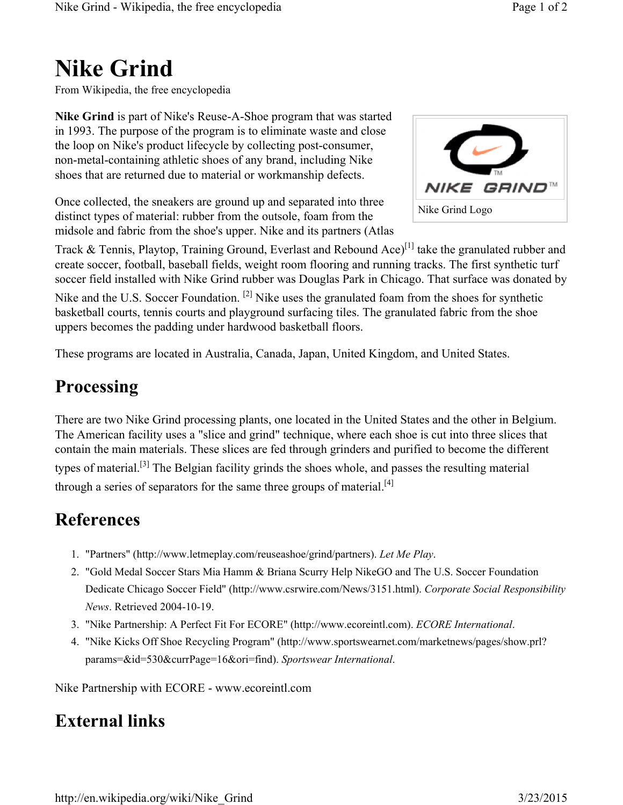## **Nike Grind**

From Wikipedia, the free encyclopedia

**Nike Grind** is part of Nike's Reuse-A-Shoe program that was started in 1993. The purpose of the program is to eliminate waste and close the loop on Nike's product lifecycle by collecting post-consumer, non-metal-containing athletic shoes of any brand, including Nike shoes that are returned due to material or workmanship defects.

Once collected, the sneakers are ground up and separated into three distinct types of material: rubber from the outsole, foam from the midsole and fabric from the shoe's upper. Nike and its partners (Atlas



Track & Tennis, Playtop, Training Ground, Everlast and Rebound Ace)<sup>[1]</sup> take the granulated rubber and create soccer, football, baseball fields, weight room flooring and running tracks. The first synthetic turf soccer field installed with Nike Grind rubber was Douglas Park in Chicago. That surface was donated by

Nike and the U.S. Soccer Foundation. <sup>[2]</sup> Nike uses the granulated foam from the shoes for synthetic basketball courts, tennis courts and playground surfacing tiles. The granulated fabric from the shoe uppers becomes the padding under hardwood basketball floors.

These programs are located in Australia, Canada, Japan, United Kingdom, and United States.

## **Processing**

There are two Nike Grind processing plants, one located in the United States and the other in Belgium. The American facility uses a "slice and grind" technique, where each shoe is cut into three slices that contain the main materials. These slices are fed through grinders and purified to become the different types of material.[3] The Belgian facility grinds the shoes whole, and passes the resulting material through a series of separators for the same three groups of material.<sup>[4]</sup>

## **References**

- 1. "Partners" (http://www.letmeplay.com/reuseashoe/grind/partners). *Let Me Play*.
- 2. "Gold Medal Soccer Stars Mia Hamm & Briana Scurry Help NikeGO and The U.S. Soccer Foundation Dedicate Chicago Soccer Field" (http://www.csrwire.com/News/3151.html). *Corporate Social Responsibility News*. Retrieved 2004-10-19.
- 3. "Nike Partnership: A Perfect Fit For ECORE" (http://www.ecoreintl.com). *ECORE International*.
- 4. "Nike Kicks Off Shoe Recycling Program" (http://www.sportswearnet.com/marketnews/pages/show.prl? params=&id=530&currPage=16&ori=find). *Sportswear International*.

Nike Partnership with ECORE - www.ecoreintl.com

## **External links**